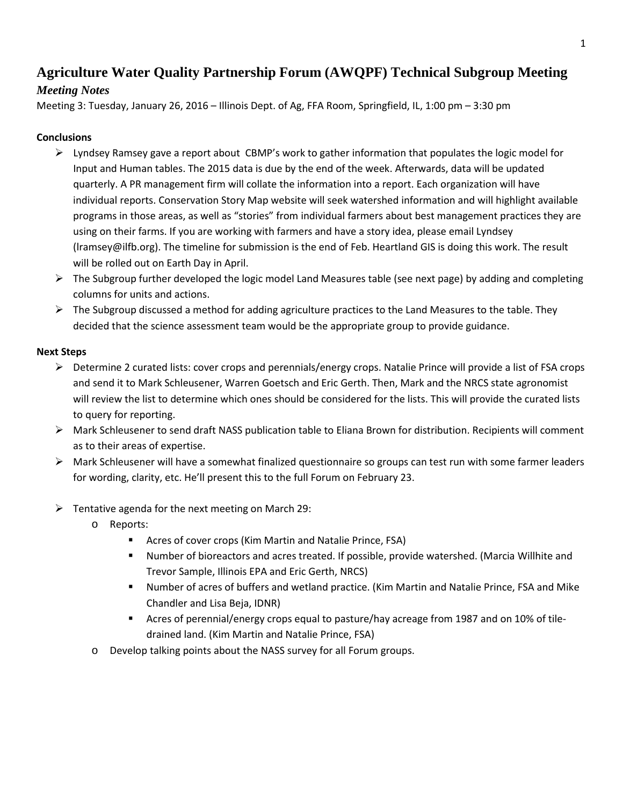# **Agriculture Water Quality Partnership Forum (AWQPF) Technical Subgroup Meeting**

## *Meeting Notes*

Meeting 3: Tuesday, January 26, 2016 – Illinois Dept. of Ag, FFA Room, Springfield, IL, 1:00 pm – 3:30 pm

## **Conclusions**

- $\triangleright$  Lyndsey Ramsey gave a report about CBMP's work to gather information that populates the logic model for Input and Human tables. The 2015 data is due by the end of the week. Afterwards, data will be updated quarterly. A PR management firm will collate the information into a report. Each organization will have individual reports. Conservation Story Map website will seek watershed information and will highlight available programs in those areas, as well as "stories" from individual farmers about best management practices they are using on their farms. If you are working with farmers and have a story idea, please email Lyndsey (lramsey@ilfb.org). The timeline for submission is the end of Feb. Heartland GIS is doing this work. The result will be rolled out on Earth Day in April.
- The Subgroup further developed the logic model Land Measures table (see next page) by adding and completing columns for units and actions.
- $\triangleright$  The Subgroup discussed a method for adding agriculture practices to the Land Measures to the table. They decided that the science assessment team would be the appropriate group to provide guidance.

### **Next Steps**

- $\triangleright$  Determine 2 curated lists: cover crops and perennials/energy crops. Natalie Prince will provide a list of FSA crops and send it to Mark Schleusener, Warren Goetsch and Eric Gerth. Then, Mark and the NRCS state agronomist will review the list to determine which ones should be considered for the lists. This will provide the curated lists to query for reporting.
- Mark Schleusener to send draft NASS publication table to Eliana Brown for distribution. Recipients will comment as to their areas of expertise.
- $\triangleright$  Mark Schleusener will have a somewhat finalized questionnaire so groups can test run with some farmer leaders for wording, clarity, etc. He'll present this to the full Forum on February 23.
- $\triangleright$  Tentative agenda for the next meeting on March 29:
	- o Reports:
		- Acres of cover crops (Kim Martin and Natalie Prince, FSA)
		- Number of bioreactors and acres treated. If possible, provide watershed. (Marcia Willhite and Trevor Sample, Illinois EPA and Eric Gerth, NRCS)
		- Number of acres of buffers and wetland practice. (Kim Martin and Natalie Prince, FSA and Mike Chandler and Lisa Beja, IDNR)
		- Acres of perennial/energy crops equal to pasture/hay acreage from 1987 and on 10% of tiledrained land. (Kim Martin and Natalie Prince, FSA)
	- o Develop talking points about the NASS survey for all Forum groups.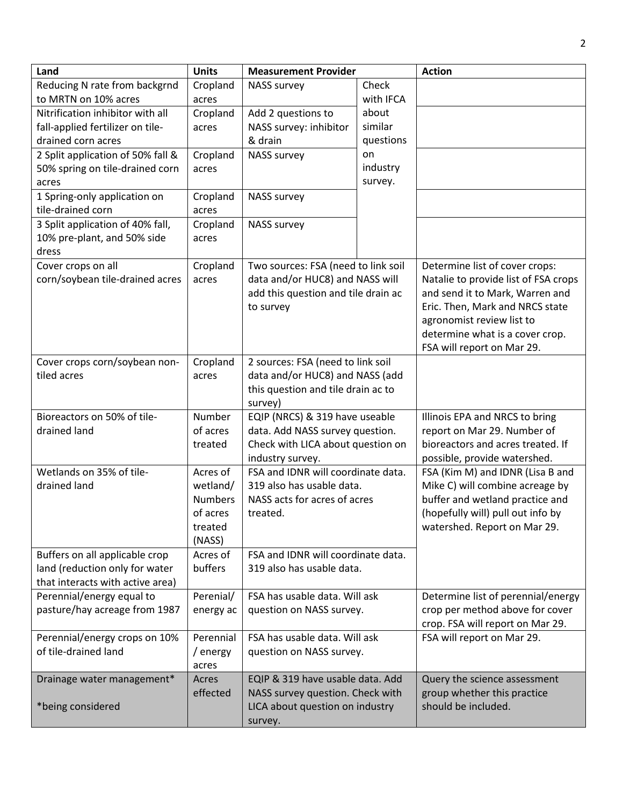| Land                              | <b>Units</b>   | <b>Measurement Provider</b>         |           | <b>Action</b>                        |
|-----------------------------------|----------------|-------------------------------------|-----------|--------------------------------------|
| Reducing N rate from backgrnd     | Cropland       | <b>NASS survey</b>                  | Check     |                                      |
| to MRTN on 10% acres              | acres          |                                     | with IFCA |                                      |
| Nitrification inhibitor with all  | Cropland       | Add 2 questions to                  | about     |                                      |
| fall-applied fertilizer on tile-  | acres          | NASS survey: inhibitor              | similar   |                                      |
| drained corn acres                |                | & drain                             | questions |                                      |
| 2 Split application of 50% fall & | Cropland       | <b>NASS survey</b>                  | on        |                                      |
| 50% spring on tile-drained corn   | acres          |                                     | industry  |                                      |
| acres                             |                |                                     | survey.   |                                      |
| 1 Spring-only application on      | Cropland       | <b>NASS survey</b>                  |           |                                      |
| tile-drained corn                 | acres          |                                     |           |                                      |
| 3 Split application of 40% fall,  | Cropland       | <b>NASS survey</b>                  |           |                                      |
| 10% pre-plant, and 50% side       | acres          |                                     |           |                                      |
| dress                             |                |                                     |           |                                      |
| Cover crops on all                | Cropland       | Two sources: FSA (need to link soil |           | Determine list of cover crops:       |
| corn/soybean tile-drained acres   | acres          | data and/or HUC8) and NASS will     |           | Natalie to provide list of FSA crops |
|                                   |                | add this question and tile drain ac |           | and send it to Mark, Warren and      |
|                                   |                | to survey                           |           | Eric. Then, Mark and NRCS state      |
|                                   |                |                                     |           | agronomist review list to            |
|                                   |                |                                     |           | determine what is a cover crop.      |
|                                   |                |                                     |           | FSA will report on Mar 29.           |
| Cover crops corn/soybean non-     | Cropland       | 2 sources: FSA (need to link soil   |           |                                      |
| tiled acres                       | acres          | data and/or HUC8) and NASS (add     |           |                                      |
|                                   |                | this question and tile drain ac to  |           |                                      |
|                                   |                | survey)                             |           |                                      |
| Bioreactors on 50% of tile-       | Number         | EQIP (NRCS) & 319 have useable      |           | Illinois EPA and NRCS to bring       |
| drained land                      | of acres       | data. Add NASS survey question.     |           | report on Mar 29. Number of          |
|                                   | treated        | Check with LICA about question on   |           | bioreactors and acres treated. If    |
|                                   |                | industry survey.                    |           | possible, provide watershed.         |
| Wetlands on 35% of tile-          | Acres of       | FSA and IDNR will coordinate data.  |           | FSA (Kim M) and IDNR (Lisa B and     |
| drained land                      | wetland/       | 319 also has usable data.           |           | Mike C) will combine acreage by      |
|                                   | <b>Numbers</b> | NASS acts for acres of acres        |           | buffer and wetland practice and      |
|                                   | of acres       | treated.                            |           | (hopefully will) pull out info by    |
|                                   | treated        |                                     |           | watershed. Report on Mar 29.         |
|                                   | (NASS)         |                                     |           |                                      |
| Buffers on all applicable crop    | Acres of       | FSA and IDNR will coordinate data.  |           |                                      |
| land (reduction only for water    | buffers        | 319 also has usable data.           |           |                                      |
| that interacts with active area)  |                |                                     |           |                                      |
| Perennial/energy equal to         | Perenial/      | FSA has usable data. Will ask       |           | Determine list of perennial/energy   |
| pasture/hay acreage from 1987     | energy ac      | question on NASS survey.            |           | crop per method above for cover      |
|                                   |                |                                     |           | crop. FSA will report on Mar 29.     |
| Perennial/energy crops on 10%     | Perennial      | FSA has usable data. Will ask       |           | FSA will report on Mar 29.           |
| of tile-drained land              | / energy       | question on NASS survey.            |           |                                      |
|                                   | acres          |                                     |           |                                      |
| Drainage water management*        | Acres          | EQIP & 319 have usable data. Add    |           | Query the science assessment         |
|                                   | effected       | NASS survey question. Check with    |           | group whether this practice          |
| *being considered                 |                | LICA about question on industry     |           | should be included.                  |
|                                   |                | survey.                             |           |                                      |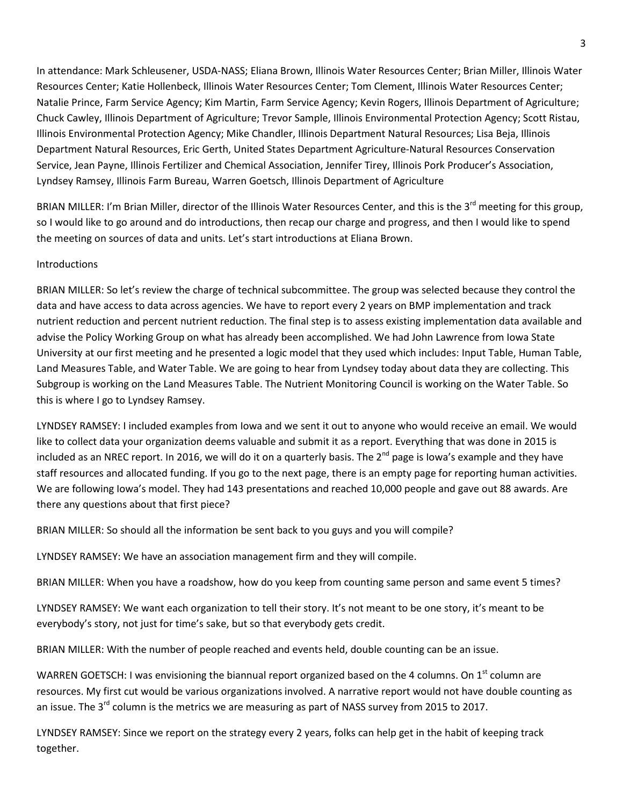In attendance: Mark Schleusener, USDA-NASS; Eliana Brown, Illinois Water Resources Center; Brian Miller, Illinois Water Resources Center; Katie Hollenbeck, Illinois Water Resources Center; Tom Clement, Illinois Water Resources Center; Natalie Prince, Farm Service Agency; Kim Martin, Farm Service Agency; Kevin Rogers, Illinois Department of Agriculture; Chuck Cawley, Illinois Department of Agriculture; Trevor Sample, Illinois Environmental Protection Agency; Scott Ristau, Illinois Environmental Protection Agency; Mike Chandler, Illinois Department Natural Resources; Lisa Beja, Illinois Department Natural Resources, Eric Gerth, United States Department Agriculture-Natural Resources Conservation Service, Jean Payne, Illinois Fertilizer and Chemical Association, Jennifer Tirey, Illinois Pork Producer's Association, Lyndsey Ramsey, Illinois Farm Bureau, Warren Goetsch, Illinois Department of Agriculture

BRIAN MILLER: I'm Brian Miller, director of the Illinois Water Resources Center, and this is the 3<sup>rd</sup> meeting for this group, so I would like to go around and do introductions, then recap our charge and progress, and then I would like to spend the meeting on sources of data and units. Let's start introductions at Eliana Brown.

#### Introductions

BRIAN MILLER: So let's review the charge of technical subcommittee. The group was selected because they control the data and have access to data across agencies. We have to report every 2 years on BMP implementation and track nutrient reduction and percent nutrient reduction. The final step is to assess existing implementation data available and advise the Policy Working Group on what has already been accomplished. We had John Lawrence from Iowa State University at our first meeting and he presented a logic model that they used which includes: Input Table, Human Table, Land Measures Table, and Water Table. We are going to hear from Lyndsey today about data they are collecting. This Subgroup is working on the Land Measures Table. The Nutrient Monitoring Council is working on the Water Table. So this is where I go to Lyndsey Ramsey.

LYNDSEY RAMSEY: I included examples from Iowa and we sent it out to anyone who would receive an email. We would like to collect data your organization deems valuable and submit it as a report. Everything that was done in 2015 is included as an NREC report. In 2016, we will do it on a quarterly basis. The  $2^{nd}$  page is Iowa's example and they have staff resources and allocated funding. If you go to the next page, there is an empty page for reporting human activities. We are following Iowa's model. They had 143 presentations and reached 10,000 people and gave out 88 awards. Are there any questions about that first piece?

BRIAN MILLER: So should all the information be sent back to you guys and you will compile?

LYNDSEY RAMSEY: We have an association management firm and they will compile.

BRIAN MILLER: When you have a roadshow, how do you keep from counting same person and same event 5 times?

LYNDSEY RAMSEY: We want each organization to tell their story. It's not meant to be one story, it's meant to be everybody's story, not just for time's sake, but so that everybody gets credit.

BRIAN MILLER: With the number of people reached and events held, double counting can be an issue.

WARREN GOETSCH: I was envisioning the biannual report organized based on the 4 columns. On 1<sup>st</sup> column are resources. My first cut would be various organizations involved. A narrative report would not have double counting as an issue. The 3<sup>rd</sup> column is the metrics we are measuring as part of NASS survey from 2015 to 2017.

LYNDSEY RAMSEY: Since we report on the strategy every 2 years, folks can help get in the habit of keeping track together.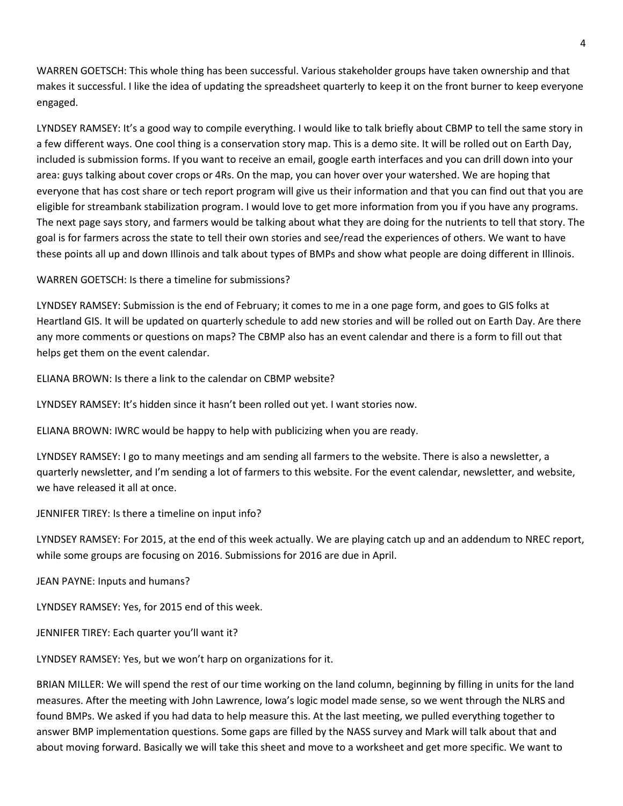WARREN GOETSCH: This whole thing has been successful. Various stakeholder groups have taken ownership and that makes it successful. I like the idea of updating the spreadsheet quarterly to keep it on the front burner to keep everyone engaged.

LYNDSEY RAMSEY: It's a good way to compile everything. I would like to talk briefly about CBMP to tell the same story in a few different ways. One cool thing is a conservation story map. This is a demo site. It will be rolled out on Earth Day, included is submission forms. If you want to receive an email, google earth interfaces and you can drill down into your area: guys talking about cover crops or 4Rs. On the map, you can hover over your watershed. We are hoping that everyone that has cost share or tech report program will give us their information and that you can find out that you are eligible for streambank stabilization program. I would love to get more information from you if you have any programs. The next page says story, and farmers would be talking about what they are doing for the nutrients to tell that story. The goal is for farmers across the state to tell their own stories and see/read the experiences of others. We want to have these points all up and down Illinois and talk about types of BMPs and show what people are doing different in Illinois.

WARREN GOETSCH: Is there a timeline for submissions?

LYNDSEY RAMSEY: Submission is the end of February; it comes to me in a one page form, and goes to GIS folks at Heartland GIS. It will be updated on quarterly schedule to add new stories and will be rolled out on Earth Day. Are there any more comments or questions on maps? The CBMP also has an event calendar and there is a form to fill out that helps get them on the event calendar.

ELIANA BROWN: Is there a link to the calendar on CBMP website?

LYNDSEY RAMSEY: It's hidden since it hasn't been rolled out yet. I want stories now.

ELIANA BROWN: IWRC would be happy to help with publicizing when you are ready.

LYNDSEY RAMSEY: I go to many meetings and am sending all farmers to the website. There is also a newsletter, a quarterly newsletter, and I'm sending a lot of farmers to this website. For the event calendar, newsletter, and website, we have released it all at once.

JENNIFER TIREY: Is there a timeline on input info?

LYNDSEY RAMSEY: For 2015, at the end of this week actually. We are playing catch up and an addendum to NREC report, while some groups are focusing on 2016. Submissions for 2016 are due in April.

JEAN PAYNE: Inputs and humans?

LYNDSEY RAMSEY: Yes, for 2015 end of this week.

JENNIFER TIREY: Each quarter you'll want it?

LYNDSEY RAMSEY: Yes, but we won't harp on organizations for it.

BRIAN MILLER: We will spend the rest of our time working on the land column, beginning by filling in units for the land measures. After the meeting with John Lawrence, Iowa's logic model made sense, so we went through the NLRS and found BMPs. We asked if you had data to help measure this. At the last meeting, we pulled everything together to answer BMP implementation questions. Some gaps are filled by the NASS survey and Mark will talk about that and about moving forward. Basically we will take this sheet and move to a worksheet and get more specific. We want to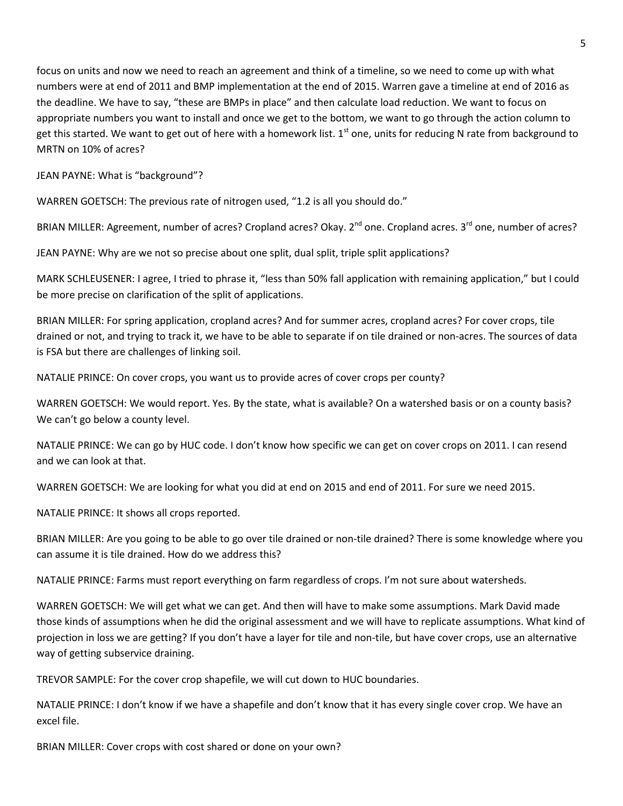focus on units and now we need to reach an agreement and think of a timeline, so we need to come up with what numbers were at end of 2011 and BMP implementation at the end of 2015. Warren gave a timeline at end of 2016 as the deadline. We have to say, "these are BMPs in place" and then calculate load reduction. We want to focus on appropriate numbers you want to install and once we get to the bottom, we want to go through the action column to get this started. We want to get out of here with a homework list.  $1<sup>st</sup>$  one, units for reducing N rate from background to MRTN on 10% of acres?

JEAN PAYNE: What is "background"?

WARREN GOETSCH: The previous rate of nitrogen used, "1.2 is all you should do."

BRIAN MILLER: Agreement, number of acres? Cropland acres? Okay. 2<sup>nd</sup> one. Cropland acres. 3<sup>rd</sup> one, number of acres?

JEAN PAYNE: Why are we not so precise about one split, dual split, triple split applications?

MARK SCHLEUSENER: I agree, I tried to phrase it, "less than 50% fall application with remaining application," but I could be more precise on clarification of the split of applications.

BRIAN MILLER: For spring application, cropland acres? And for summer acres, cropland acres? For cover crops, tile drained or not, and trying to track it, we have to be able to separate if on tile drained or non-acres. The sources of data is FSA but there are challenges of linking soil.

NATALIE PRINCE: On cover crops, you want us to provide acres of cover crops per county?

WARREN GOETSCH: We would report. Yes. By the state, what is available? On a watershed basis or on a county basis? We can't go below a county level.

NATALIE PRINCE: We can go by HUC code. I don't know how specific we can get on cover crops on 2011. I can resend and we can look at that.

WARREN GOETSCH: We are looking for what you did at end on 2015 and end of 2011. For sure we need 2015.

NATALIE PRINCE: It shows all crops reported.

BRIAN MILLER: Are you going to be able to go over tile drained or non-tile drained? There is some knowledge where you can assume it is tile drained. How do we address this?

NATALIE PRINCE: Farms must report everything on farm regardless of crops. I'm not sure about watersheds.

WARREN GOETSCH: We will get what we can get. And then will have to make some assumptions. Mark David made those kinds of assumptions when he did the original assessment and we will have to replicate assumptions. What kind of projection in loss we are getting? If you don't have a layer for tile and non-tile, but have cover crops, use an alternative way of getting subservice draining.

TREVOR SAMPLE: For the cover crop shapefile, we will cut down to HUC boundaries.

NATALIE PRINCE: I don't know if we have a shapefile and don't know that it has every single cover crop. We have an excel file.

BRIAN MILLER: Cover crops with cost shared or done on your own?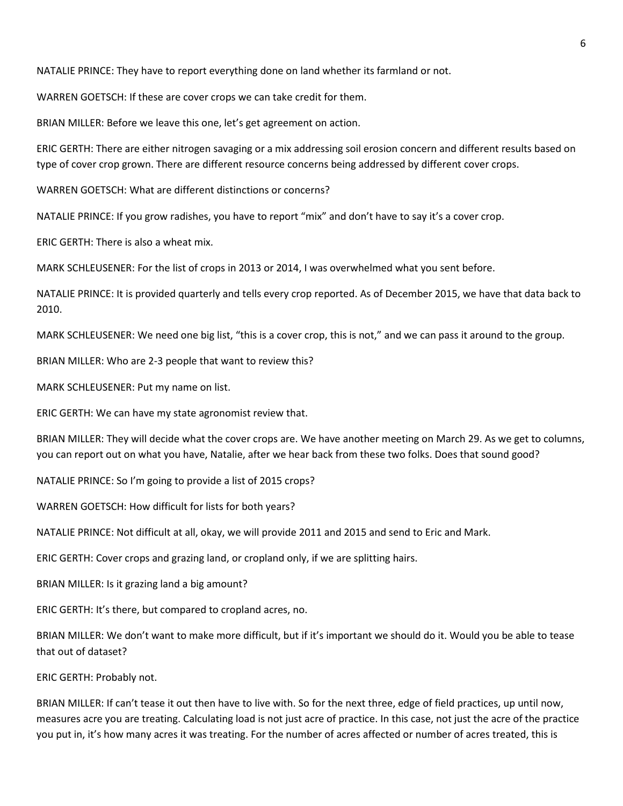NATALIE PRINCE: They have to report everything done on land whether its farmland or not.

WARREN GOETSCH: If these are cover crops we can take credit for them.

BRIAN MILLER: Before we leave this one, let's get agreement on action.

ERIC GERTH: There are either nitrogen savaging or a mix addressing soil erosion concern and different results based on type of cover crop grown. There are different resource concerns being addressed by different cover crops.

WARREN GOETSCH: What are different distinctions or concerns?

NATALIE PRINCE: If you grow radishes, you have to report "mix" and don't have to say it's a cover crop.

ERIC GERTH: There is also a wheat mix.

MARK SCHLEUSENER: For the list of crops in 2013 or 2014, I was overwhelmed what you sent before.

NATALIE PRINCE: It is provided quarterly and tells every crop reported. As of December 2015, we have that data back to 2010.

MARK SCHLEUSENER: We need one big list, "this is a cover crop, this is not," and we can pass it around to the group.

BRIAN MILLER: Who are 2-3 people that want to review this?

MARK SCHLEUSENER: Put my name on list.

ERIC GERTH: We can have my state agronomist review that.

BRIAN MILLER: They will decide what the cover crops are. We have another meeting on March 29. As we get to columns, you can report out on what you have, Natalie, after we hear back from these two folks. Does that sound good?

NATALIE PRINCE: So I'm going to provide a list of 2015 crops?

WARREN GOETSCH: How difficult for lists for both years?

NATALIE PRINCE: Not difficult at all, okay, we will provide 2011 and 2015 and send to Eric and Mark.

ERIC GERTH: Cover crops and grazing land, or cropland only, if we are splitting hairs.

BRIAN MILLER: Is it grazing land a big amount?

ERIC GERTH: It's there, but compared to cropland acres, no.

BRIAN MILLER: We don't want to make more difficult, but if it's important we should do it. Would you be able to tease that out of dataset?

ERIC GERTH: Probably not.

BRIAN MILLER: If can't tease it out then have to live with. So for the next three, edge of field practices, up until now, measures acre you are treating. Calculating load is not just acre of practice. In this case, not just the acre of the practice you put in, it's how many acres it was treating. For the number of acres affected or number of acres treated, this is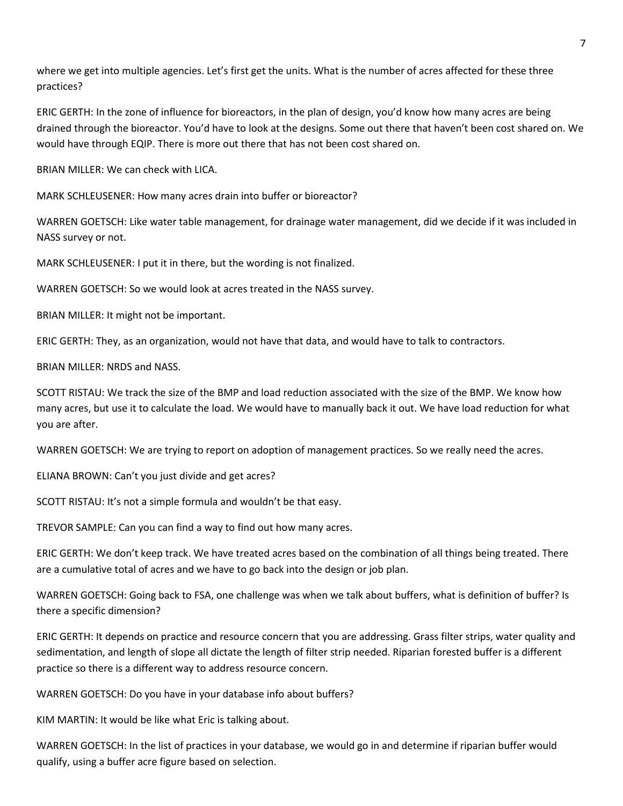where we get into multiple agencies. Let's first get the units. What is the number of acres affected for these three practices?

ERIC GERTH: In the zone of influence for bioreactors, in the plan of design, you'd know how many acres are being drained through the bioreactor. You'd have to look at the designs. Some out there that haven't been cost shared on. We would have through EQIP. There is more out there that has not been cost shared on.

BRIAN MILLER: We can check with LICA.

MARK SCHLEUSENER: How many acres drain into buffer or bioreactor?

WARREN GOETSCH: Like water table management, for drainage water management, did we decide if it was included in NASS survey or not.

MARK SCHLEUSENER: I put it in there, but the wording is not finalized.

WARREN GOETSCH: So we would look at acres treated in the NASS survey.

BRIAN MILLER: It might not be important.

ERIC GERTH: They, as an organization, would not have that data, and would have to talk to contractors.

BRIAN MILLER: NRDS and NASS.

SCOTT RISTAU: We track the size of the BMP and load reduction associated with the size of the BMP. We know how many acres, but use it to calculate the load. We would have to manually back it out. We have load reduction for what you are after.

WARREN GOETSCH: We are trying to report on adoption of management practices. So we really need the acres.

ELIANA BROWN: Can't you just divide and get acres?

SCOTT RISTAU: It's not a simple formula and wouldn't be that easy.

TREVOR SAMPLE: Can you can find a way to find out how many acres.

ERIC GERTH: We don't keep track. We have treated acres based on the combination of all things being treated. There are a cumulative total of acres and we have to go back into the design or job plan.

WARREN GOETSCH: Going back to FSA, one challenge was when we talk about buffers, what is definition of buffer? Is there a specific dimension?

ERIC GERTH: It depends on practice and resource concern that you are addressing. Grass filter strips, water quality and sedimentation, and length of slope all dictate the length of filter strip needed. Riparian forested buffer is a different practice so there is a different way to address resource concern.

WARREN GOETSCH: Do you have in your database info about buffers?

KIM MARTIN: It would be like what Eric is talking about.

WARREN GOETSCH: In the list of practices in your database, we would go in and determine if riparian buffer would qualify, using a buffer acre figure based on selection.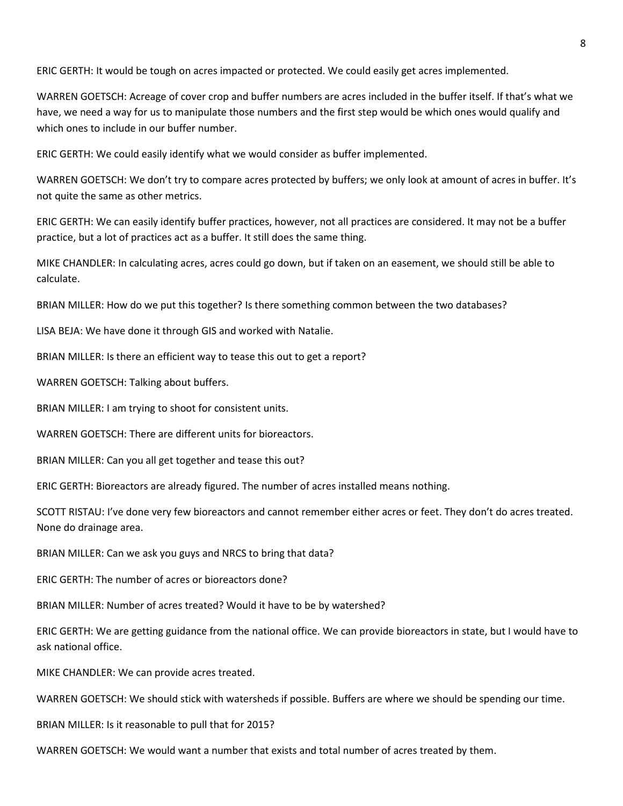ERIC GERTH: It would be tough on acres impacted or protected. We could easily get acres implemented.

WARREN GOETSCH: Acreage of cover crop and buffer numbers are acres included in the buffer itself. If that's what we have, we need a way for us to manipulate those numbers and the first step would be which ones would qualify and which ones to include in our buffer number.

ERIC GERTH: We could easily identify what we would consider as buffer implemented.

WARREN GOETSCH: We don't try to compare acres protected by buffers; we only look at amount of acres in buffer. It's not quite the same as other metrics.

ERIC GERTH: We can easily identify buffer practices, however, not all practices are considered. It may not be a buffer practice, but a lot of practices act as a buffer. It still does the same thing.

MIKE CHANDLER: In calculating acres, acres could go down, but if taken on an easement, we should still be able to calculate.

BRIAN MILLER: How do we put this together? Is there something common between the two databases?

LISA BEJA: We have done it through GIS and worked with Natalie.

BRIAN MILLER: Is there an efficient way to tease this out to get a report?

WARREN GOETSCH: Talking about buffers.

BRIAN MILLER: I am trying to shoot for consistent units.

WARREN GOETSCH: There are different units for bioreactors.

BRIAN MILLER: Can you all get together and tease this out?

ERIC GERTH: Bioreactors are already figured. The number of acres installed means nothing.

SCOTT RISTAU: I've done very few bioreactors and cannot remember either acres or feet. They don't do acres treated. None do drainage area.

BRIAN MILLER: Can we ask you guys and NRCS to bring that data?

ERIC GERTH: The number of acres or bioreactors done?

BRIAN MILLER: Number of acres treated? Would it have to be by watershed?

ERIC GERTH: We are getting guidance from the national office. We can provide bioreactors in state, but I would have to ask national office.

MIKE CHANDLER: We can provide acres treated.

WARREN GOETSCH: We should stick with watersheds if possible. Buffers are where we should be spending our time.

BRIAN MILLER: Is it reasonable to pull that for 2015?

WARREN GOETSCH: We would want a number that exists and total number of acres treated by them.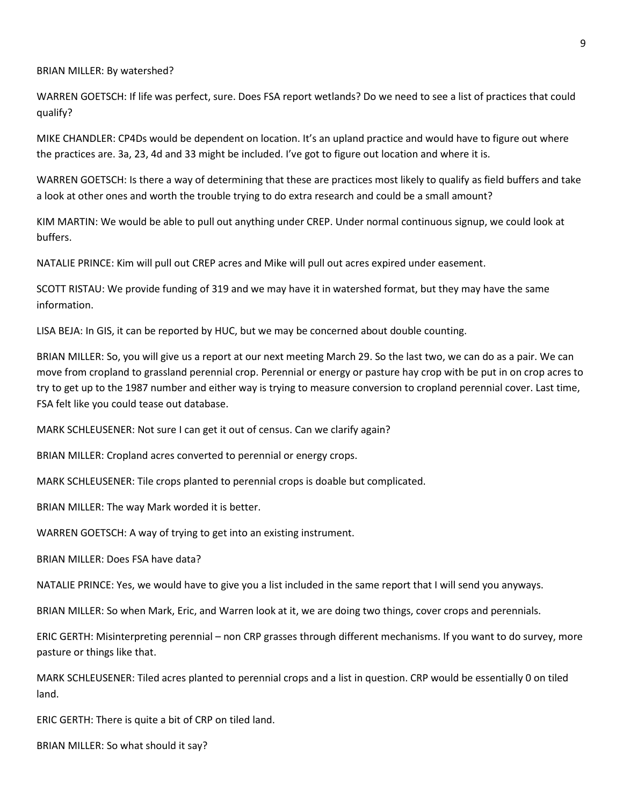BRIAN MILLER: By watershed?

WARREN GOETSCH: If life was perfect, sure. Does FSA report wetlands? Do we need to see a list of practices that could qualify?

MIKE CHANDLER: CP4Ds would be dependent on location. It's an upland practice and would have to figure out where the practices are. 3a, 23, 4d and 33 might be included. I've got to figure out location and where it is.

WARREN GOETSCH: Is there a way of determining that these are practices most likely to qualify as field buffers and take a look at other ones and worth the trouble trying to do extra research and could be a small amount?

KIM MARTIN: We would be able to pull out anything under CREP. Under normal continuous signup, we could look at buffers.

NATALIE PRINCE: Kim will pull out CREP acres and Mike will pull out acres expired under easement.

SCOTT RISTAU: We provide funding of 319 and we may have it in watershed format, but they may have the same information.

LISA BEJA: In GIS, it can be reported by HUC, but we may be concerned about double counting.

BRIAN MILLER: So, you will give us a report at our next meeting March 29. So the last two, we can do as a pair. We can move from cropland to grassland perennial crop. Perennial or energy or pasture hay crop with be put in on crop acres to try to get up to the 1987 number and either way is trying to measure conversion to cropland perennial cover. Last time, FSA felt like you could tease out database.

MARK SCHLEUSENER: Not sure I can get it out of census. Can we clarify again?

BRIAN MILLER: Cropland acres converted to perennial or energy crops.

MARK SCHLEUSENER: Tile crops planted to perennial crops is doable but complicated.

BRIAN MILLER: The way Mark worded it is better.

WARREN GOETSCH: A way of trying to get into an existing instrument.

BRIAN MILLER: Does FSA have data?

NATALIE PRINCE: Yes, we would have to give you a list included in the same report that I will send you anyways.

BRIAN MILLER: So when Mark, Eric, and Warren look at it, we are doing two things, cover crops and perennials.

ERIC GERTH: Misinterpreting perennial – non CRP grasses through different mechanisms. If you want to do survey, more pasture or things like that.

MARK SCHLEUSENER: Tiled acres planted to perennial crops and a list in question. CRP would be essentially 0 on tiled land.

ERIC GERTH: There is quite a bit of CRP on tiled land.

BRIAN MILLER: So what should it say?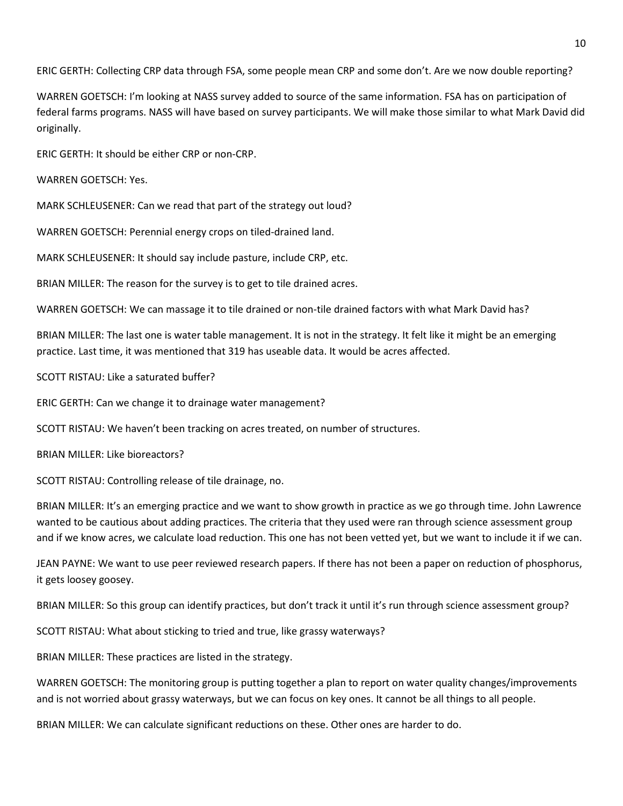ERIC GERTH: Collecting CRP data through FSA, some people mean CRP and some don't. Are we now double reporting?

WARREN GOETSCH: I'm looking at NASS survey added to source of the same information. FSA has on participation of federal farms programs. NASS will have based on survey participants. We will make those similar to what Mark David did originally.

ERIC GERTH: It should be either CRP or non-CRP.

WARREN GOETSCH: Yes.

MARK SCHLEUSENER: Can we read that part of the strategy out loud?

WARREN GOETSCH: Perennial energy crops on tiled-drained land.

MARK SCHLEUSENER: It should say include pasture, include CRP, etc.

BRIAN MILLER: The reason for the survey is to get to tile drained acres.

WARREN GOETSCH: We can massage it to tile drained or non-tile drained factors with what Mark David has?

BRIAN MILLER: The last one is water table management. It is not in the strategy. It felt like it might be an emerging practice. Last time, it was mentioned that 319 has useable data. It would be acres affected.

SCOTT RISTAU: Like a saturated buffer?

ERIC GERTH: Can we change it to drainage water management?

SCOTT RISTAU: We haven't been tracking on acres treated, on number of structures.

BRIAN MILLER: Like bioreactors?

SCOTT RISTAU: Controlling release of tile drainage, no.

BRIAN MILLER: It's an emerging practice and we want to show growth in practice as we go through time. John Lawrence wanted to be cautious about adding practices. The criteria that they used were ran through science assessment group and if we know acres, we calculate load reduction. This one has not been vetted yet, but we want to include it if we can.

JEAN PAYNE: We want to use peer reviewed research papers. If there has not been a paper on reduction of phosphorus, it gets loosey goosey.

BRIAN MILLER: So this group can identify practices, but don't track it until it's run through science assessment group?

SCOTT RISTAU: What about sticking to tried and true, like grassy waterways?

BRIAN MILLER: These practices are listed in the strategy.

WARREN GOETSCH: The monitoring group is putting together a plan to report on water quality changes/improvements and is not worried about grassy waterways, but we can focus on key ones. It cannot be all things to all people.

BRIAN MILLER: We can calculate significant reductions on these. Other ones are harder to do.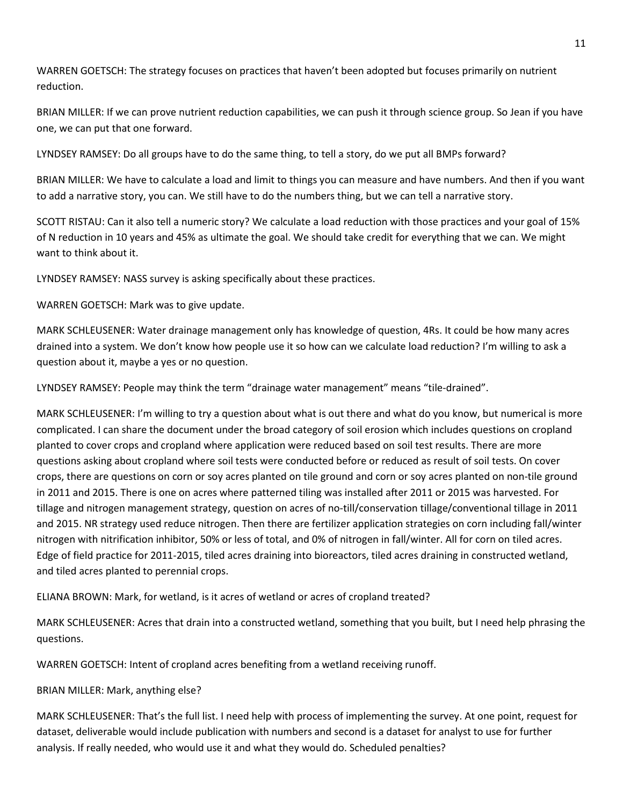WARREN GOETSCH: The strategy focuses on practices that haven't been adopted but focuses primarily on nutrient reduction.

BRIAN MILLER: If we can prove nutrient reduction capabilities, we can push it through science group. So Jean if you have one, we can put that one forward.

LYNDSEY RAMSEY: Do all groups have to do the same thing, to tell a story, do we put all BMPs forward?

BRIAN MILLER: We have to calculate a load and limit to things you can measure and have numbers. And then if you want to add a narrative story, you can. We still have to do the numbers thing, but we can tell a narrative story.

SCOTT RISTAU: Can it also tell a numeric story? We calculate a load reduction with those practices and your goal of 15% of N reduction in 10 years and 45% as ultimate the goal. We should take credit for everything that we can. We might want to think about it.

LYNDSEY RAMSEY: NASS survey is asking specifically about these practices.

WARREN GOETSCH: Mark was to give update.

MARK SCHLEUSENER: Water drainage management only has knowledge of question, 4Rs. It could be how many acres drained into a system. We don't know how people use it so how can we calculate load reduction? I'm willing to ask a question about it, maybe a yes or no question.

LYNDSEY RAMSEY: People may think the term "drainage water management" means "tile-drained".

MARK SCHLEUSENER: I'm willing to try a question about what is out there and what do you know, but numerical is more complicated. I can share the document under the broad category of soil erosion which includes questions on cropland planted to cover crops and cropland where application were reduced based on soil test results. There are more questions asking about cropland where soil tests were conducted before or reduced as result of soil tests. On cover crops, there are questions on corn or soy acres planted on tile ground and corn or soy acres planted on non-tile ground in 2011 and 2015. There is one on acres where patterned tiling was installed after 2011 or 2015 was harvested. For tillage and nitrogen management strategy, question on acres of no-till/conservation tillage/conventional tillage in 2011 and 2015. NR strategy used reduce nitrogen. Then there are fertilizer application strategies on corn including fall/winter nitrogen with nitrification inhibitor, 50% or less of total, and 0% of nitrogen in fall/winter. All for corn on tiled acres. Edge of field practice for 2011-2015, tiled acres draining into bioreactors, tiled acres draining in constructed wetland, and tiled acres planted to perennial crops.

ELIANA BROWN: Mark, for wetland, is it acres of wetland or acres of cropland treated?

MARK SCHLEUSENER: Acres that drain into a constructed wetland, something that you built, but I need help phrasing the questions.

WARREN GOETSCH: Intent of cropland acres benefiting from a wetland receiving runoff.

BRIAN MILLER: Mark, anything else?

MARK SCHLEUSENER: That's the full list. I need help with process of implementing the survey. At one point, request for dataset, deliverable would include publication with numbers and second is a dataset for analyst to use for further analysis. If really needed, who would use it and what they would do. Scheduled penalties?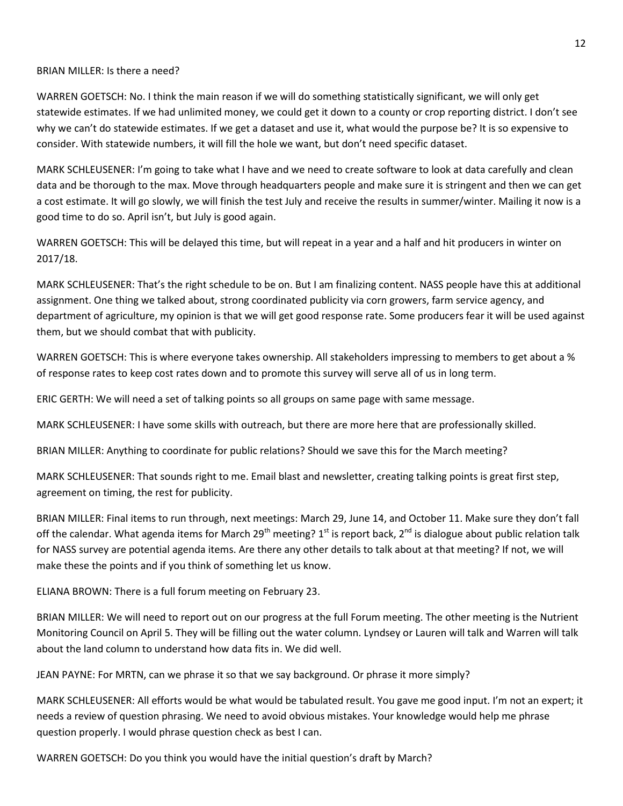#### BRIAN MILLER: Is there a need?

WARREN GOETSCH: No. I think the main reason if we will do something statistically significant, we will only get statewide estimates. If we had unlimited money, we could get it down to a county or crop reporting district. I don't see why we can't do statewide estimates. If we get a dataset and use it, what would the purpose be? It is so expensive to consider. With statewide numbers, it will fill the hole we want, but don't need specific dataset.

MARK SCHLEUSENER: I'm going to take what I have and we need to create software to look at data carefully and clean data and be thorough to the max. Move through headquarters people and make sure it is stringent and then we can get a cost estimate. It will go slowly, we will finish the test July and receive the results in summer/winter. Mailing it now is a good time to do so. April isn't, but July is good again.

WARREN GOETSCH: This will be delayed this time, but will repeat in a year and a half and hit producers in winter on 2017/18.

MARK SCHLEUSENER: That's the right schedule to be on. But I am finalizing content. NASS people have this at additional assignment. One thing we talked about, strong coordinated publicity via corn growers, farm service agency, and department of agriculture, my opinion is that we will get good response rate. Some producers fear it will be used against them, but we should combat that with publicity.

WARREN GOETSCH: This is where everyone takes ownership. All stakeholders impressing to members to get about a % of response rates to keep cost rates down and to promote this survey will serve all of us in long term.

ERIC GERTH: We will need a set of talking points so all groups on same page with same message.

MARK SCHLEUSENER: I have some skills with outreach, but there are more here that are professionally skilled.

BRIAN MILLER: Anything to coordinate for public relations? Should we save this for the March meeting?

MARK SCHLEUSENER: That sounds right to me. Email blast and newsletter, creating talking points is great first step, agreement on timing, the rest for publicity.

BRIAN MILLER: Final items to run through, next meetings: March 29, June 14, and October 11. Make sure they don't fall off the calendar. What agenda items for March 29<sup>th</sup> meeting? 1<sup>st</sup> is report back, 2<sup>nd</sup> is dialogue about public relation talk for NASS survey are potential agenda items. Are there any other details to talk about at that meeting? If not, we will make these the points and if you think of something let us know.

ELIANA BROWN: There is a full forum meeting on February 23.

BRIAN MILLER: We will need to report out on our progress at the full Forum meeting. The other meeting is the Nutrient Monitoring Council on April 5. They will be filling out the water column. Lyndsey or Lauren will talk and Warren will talk about the land column to understand how data fits in. We did well.

JEAN PAYNE: For MRTN, can we phrase it so that we say background. Or phrase it more simply?

MARK SCHLEUSENER: All efforts would be what would be tabulated result. You gave me good input. I'm not an expert; it needs a review of question phrasing. We need to avoid obvious mistakes. Your knowledge would help me phrase question properly. I would phrase question check as best I can.

WARREN GOETSCH: Do you think you would have the initial question's draft by March?